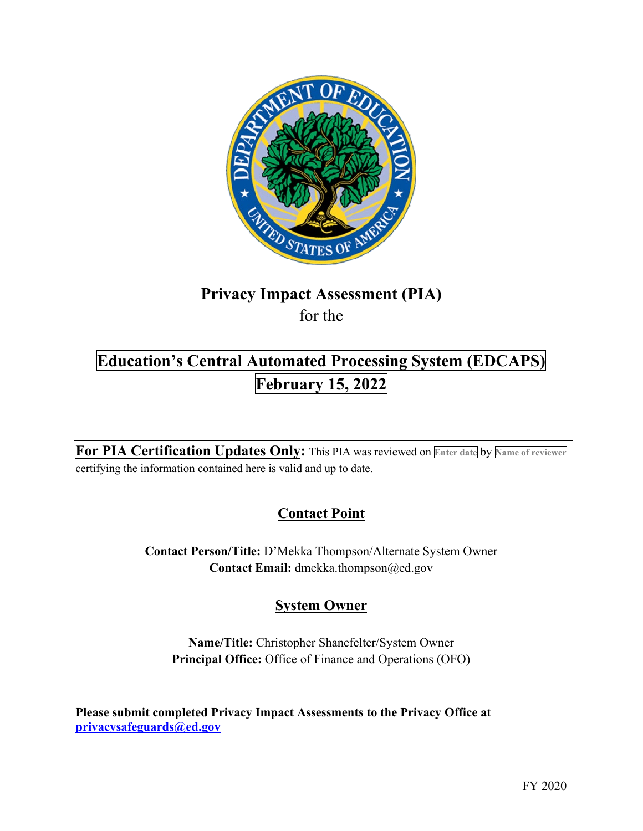

# **Privacy Impact Assessment (PIA)**

for the

## **Education's Central Automated Processing System (EDCAPS) February 15, 2022**

 **For PIA Certification Updates Only:** This PIA was reviewed on **Enter date** by **Name of reviewer**  certifying the information contained here is valid and up to date.

### **Contact Point**

**Contact Person/Title:** D'Mekka Thompson/Alternate System Owner **Contact Email:** [dmekka.thompson@ed.gov](mailto:dmekka.thompson@ed.gov)

### **System Owner**

**Name/Title:** Christopher Shanefelter/System Owner **Principal Office:** Office of Finance and Operations (OFO)

 **[privacysafeguards@ed.gov](mailto:privacysafeguards@ed.gov) Please submit completed Privacy Impact Assessments to the Privacy Office at**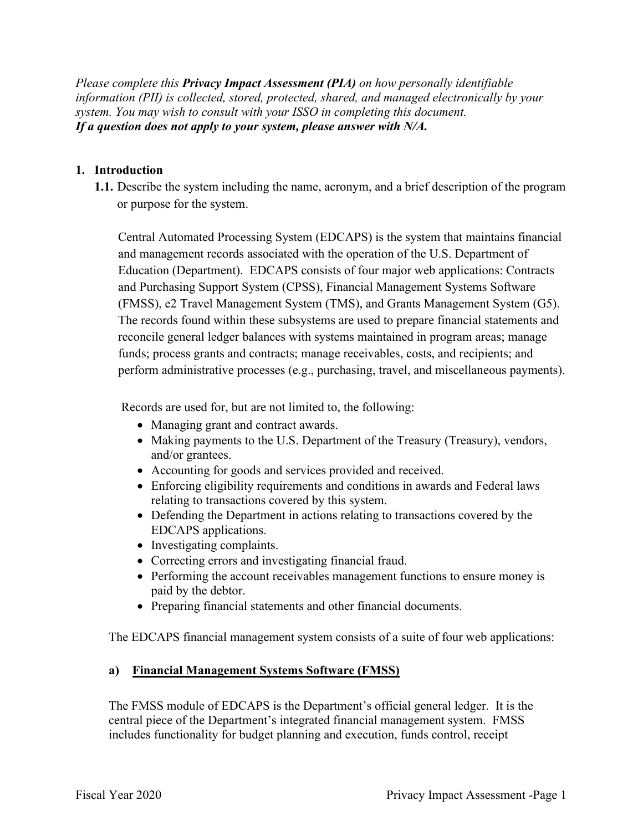*Please complete this Privacy Impact Assessment (PIA) on how personally identifiable information (PII) is collected, stored, protected, shared, and managed electronically by your system. You may wish to consult with your ISSO in completing this document. If a question does not apply to your system, please answer with N/A.* 

#### **1. Introduction**

**1.1.** Describe the system including the name, acronym, and a brief description of the program or purpose for the system.

Central Automated Processing System (EDCAPS) is the system that maintains financial and management records associated with the operation of the U.S. Department of Education (Department). EDCAPS consists of four major web applications: Contracts and Purchasing Support System (CPSS), Financial Management Systems Software (FMSS), e2 Travel Management System (TMS), and Grants Management System (G5). The records found within these subsystems are used to prepare financial statements and reconcile general ledger balances with systems maintained in program areas; manage funds; process grants and contracts; manage receivables, costs, and recipients; and perform administrative processes (e.g., purchasing, travel, and miscellaneous payments).

Records are used for, but are not limited to, the following:

- Managing grant and contract awards.
- Making payments to the U.S. Department of the Treasury (Treasury), vendors, and/or grantees.
- Accounting for goods and services provided and received.
- Enforcing eligibility requirements and conditions in awards and Federal laws relating to transactions covered by this system.
- Defending the Department in actions relating to transactions covered by the EDCAPS applications.
- Investigating complaints.
- Correcting errors and investigating financial fraud.
- Performing the account receivables management functions to ensure money is paid by the debtor.
- Preparing financial statements and other financial documents.

The EDCAPS financial management system consists of a suite of four web applications:

#### **a) Financial Management Systems Software (FMSS)**

 The FMSS module of EDCAPS is the Department's official general ledger. It is the central piece of the Department's integrated financial management system. FMSS includes functionality for budget planning and execution, funds control, receipt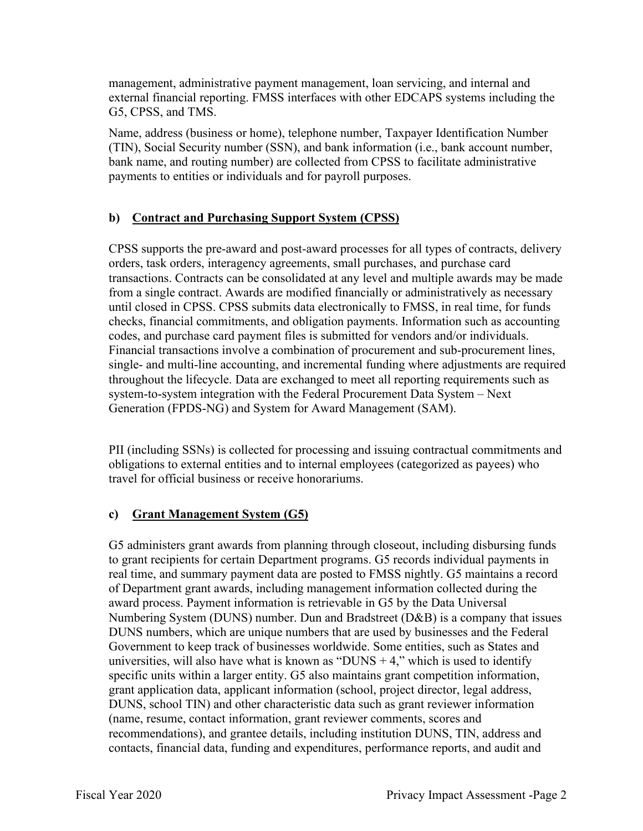management, administrative payment management, loan servicing, and internal and external financial reporting. FMSS interfaces with other EDCAPS systems including the G5, CPSS, and TMS.

 payments to entities or individuals and for payroll purposes. Name, address (business or home), telephone number, Taxpayer Identification Number (TIN), Social Security number (SSN), and bank information (i.e., bank account number, bank name, and routing number) are collected from CPSS to facilitate administrative

#### **b) Contract and Purchasing Support System (CPSS)**

CPSS supports the pre-award and post-award processes for all types of contracts, delivery orders, task orders, interagency agreements, small purchases, and purchase card transactions. Contracts can be consolidated at any level and multiple awards may be made from a single contract. Awards are modified financially or administratively as necessary until closed in CPSS. CPSS submits data electronically to FMSS, in real time, for funds checks, financial commitments, and obligation payments. Information such as accounting codes, and purchase card payment files is submitted for vendors and/or individuals. Financial transactions involve a combination of procurement and sub-procurement lines, single- and multi-line accounting, and incremental funding where adjustments are required throughout the lifecycle. Data are exchanged to meet all reporting requirements such as system-to-system integration with the Federal Procurement Data System – Next Generation (FPDS-NG) and System for Award Management (SAM).

PII (including SSNs) is collected for processing and issuing contractual commitments and obligations to external entities and to internal employees (categorized as payees) who travel for official business or receive honorariums.

#### **c) Grant Management System (G5)**

 DUNS, school TIN) and other characteristic data such as grant reviewer information G5 administers grant awards from planning through closeout, including disbursing funds to grant recipients for certain Department programs. G5 records individual payments in real time, and summary payment data are posted to FMSS nightly. G5 maintains a record of Department grant awards, including management information collected during the award process. Payment information is retrievable in G5 by the Data Universal Numbering System (DUNS) number. Dun and Bradstreet (D&B) is a company that issues DUNS numbers, which are unique numbers that are used by businesses and the Federal Government to keep track of businesses worldwide. Some entities, such as States and universities, will also have what is known as "DUNS  $+4$ ," which is used to identify specific units within a larger entity. G5 also maintains grant competition information, grant application data, applicant information (school, project director, legal address, (name, resume, contact information, grant reviewer comments, scores and recommendations), and grantee details, including institution DUNS, TIN, address and contacts, financial data, funding and expenditures, performance reports, and audit and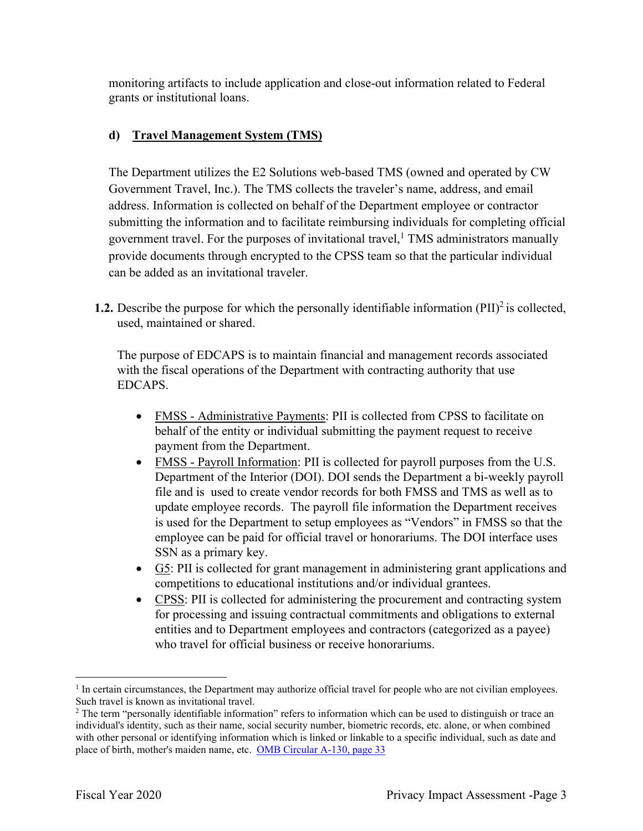monitoring artifacts to include application and close-out information related to Federal grants or institutional loans.

#### **d) Travel Management System (TMS)**

 address. Information is collected on behalf of the Department employee or contractor The Department utilizes the E2 Solutions web-based TMS (owned and operated by CW Government Travel, Inc.). The TMS collects the traveler's name, address, and email submitting the information and to facilitate reimbursing individuals for completing official government travel. For the purposes of invitational travel, $<sup>1</sup>$  TMS administrators manually</sup> provide documents through encrypted to the CPSS team so that the particular individual can be added as an invitational traveler.

**1.2.** Describe the purpose for which the personally identifiable information (PII)<sup>2</sup> is collected, used, maintained or shared.

 EDCAPS. The purpose of EDCAPS is to maintain financial and management records associated with the fiscal operations of the Department with contracting authority that use

- FMSS Administrative Payments: PII is collected from CPSS to facilitate on behalf of the entity or individual submitting the payment request to receive payment from the Department.
- update employee records. The payroll file information the Department receives SSN as a primary key. • FMSS - Payroll Information: PII is collected for payroll purposes from the U.S. Department of the Interior (DOI). DOI sends the Department a bi-weekly payroll file and is used to create vendor records for both FMSS and TMS as well as to is used for the Department to setup employees as "Vendors" in FMSS so that the employee can be paid for official travel or honorariums. The DOI interface uses
- G5: PII is collected for grant management in administering grant applications and competitions to educational institutions and/or individual grantees.
- entities and to Department employees and contractors (categorized as a payee) • CPSS: PII is collected for administering the procurement and contracting system for processing and issuing contractual commitments and obligations to external who travel for official business or receive honorariums.

<sup>&</sup>lt;sup>1</sup> In certain circumstances, the Department may authorize official travel for people who are not civilian employees.<br>Such travel is known as invitational travel.

place of birth, mother's maiden name, etc. OMB Circular A-130, page 33 <sup>2</sup> The term "personally identifiable information" refers to information which can be used to distinguish or trace an individual's identity, such as their name, social security number, biometric records, etc. alone, or when combined with other personal or identifying information which is linked or linkable to a specific individual, such as date and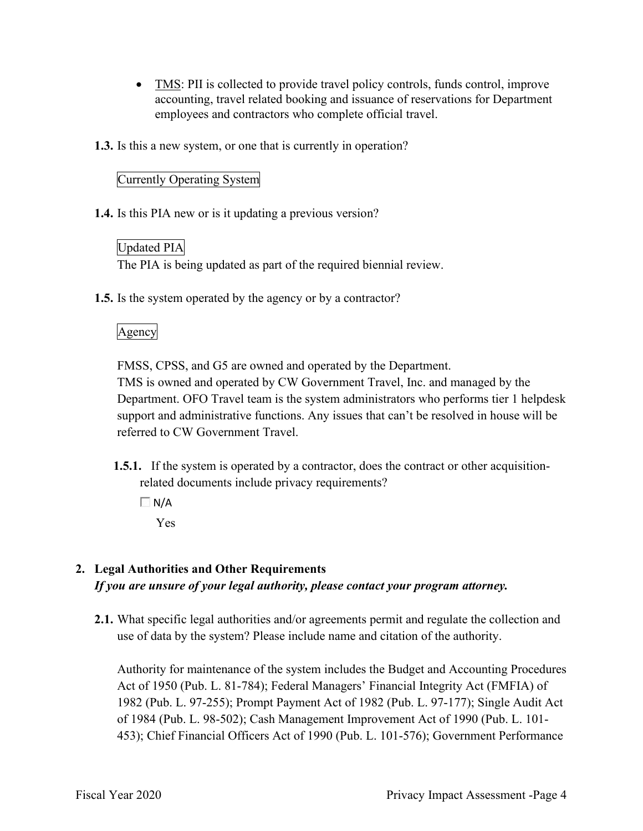- TMS: PII is collected to provide travel policy controls, funds control, improve accounting, travel related booking and issuance of reservations for Department employees and contractors who complete official travel.
- **1.3.** Is this a new system, or one that is currently in operation?

#### Currently Operating System

**1.4.** Is this PIA new or is it updating a previous version?

#### Updated PIA

The PIA is being updated as part of the required biennial review.

**1.5.** Is the system operated by the agency or by a contractor?

#### Agency

FMSS, CPSS, and G5 are owned and operated by the Department.

TMS is owned and operated by CW Government Travel, Inc. and managed by the Department. OFO Travel team is the system administrators who performs tier 1 helpdesk support and administrative functions. Any issues that can't be resolved in house will be referred to CW Government Travel.

- **1.5.1.** If the system is operated by a contractor, does the contract or other acquisitionrelated documents include privacy requirements?
	- $\Box$  N/A Yes

### **2. Legal Authorities and Other Requirements**  *If you are unsure of your legal authority, please contact your program attorney.*

**2.1.** What specific legal authorities and/or agreements permit and regulate the collection and use of data by the system? Please include name and citation of the authority.

 Act of 1950 (Pub. L. 81-784); Federal Managers' Financial Integrity Act (FMFIA) of Authority for maintenance of the system includes the Budget and Accounting Procedures 1982 (Pub. L. 97-255); Prompt Payment Act of 1982 (Pub. L. 97-177); Single Audit Act of 1984 (Pub. L. 98-502); Cash Management Improvement Act of 1990 (Pub. L. 101- 453); Chief Financial Officers Act of 1990 (Pub. L. 101-576); Government Performance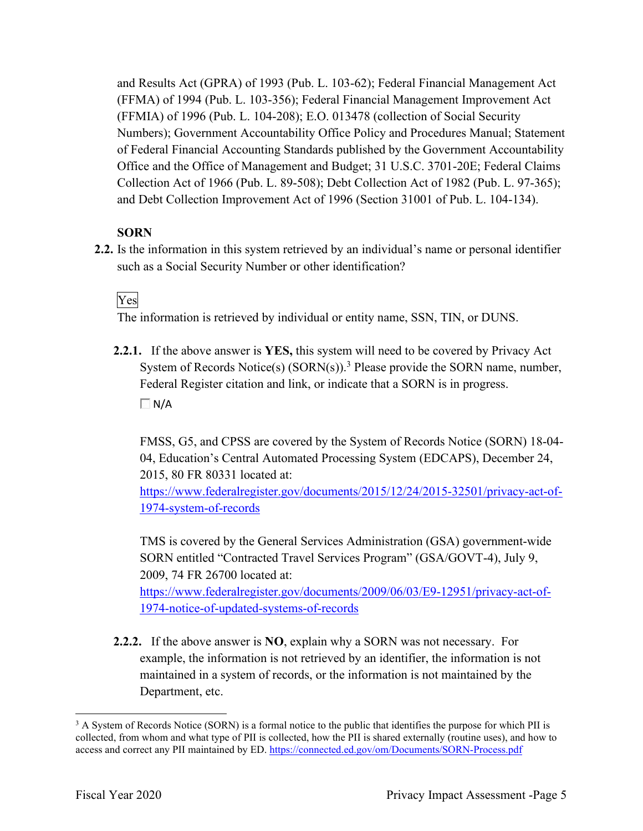and Results Act (GPRA) of 1993 (Pub. L. 103-62); Federal Financial Management Act (FFMA) of 1994 (Pub. L. 103-356); Federal Financial Management Improvement Act (FFMIA) of 1996 (Pub. L. 104-208); E.O. 013478 (collection of Social Security Numbers); Government Accountability Office Policy and Procedures Manual; Statement of Federal Financial Accounting Standards published by the Government Accountability Office and the Office of Management and Budget; 31 U.S.C. 3701-20E; Federal Claims Collection Act of 1966 (Pub. L. 89-508); Debt Collection Act of 1982 (Pub. L. 97-365); and Debt Collection Improvement Act of 1996 (Section 31001 of Pub. L. 104-134).

#### **SORN**

such as a Social Security Number or other identification?<br>Ves **2.2.** Is the information in this system retrieved by an individual's name or personal identifier

The information is retrieved by individual or entity name, SSN, TIN, or DUNS.

**2.2.1.** If the above answer is **YES,** this system will need to be covered by Privacy Act System of Records Notice(s)  $(SORN(s))$ .<sup>3</sup> Please provide the SORN name, number, Federal Register citation and link, or indicate that a SORN is in progress.  $\Box$  N/A

FMSS, G5, and CPSS are covered by the System of Records Notice (SORN) 18-04- 04, Education's Central Automated Processing System (EDCAPS), December 24, 2015, 80 FR 80331 located at:

[https://www.federalregister.gov/documents/2015/12/24/2015-32501/privacy-act-of-](https://www.federalregister.gov/documents/2015/12/24/2015-32501/privacy-act-of)1974-system-of-records

TMS is covered by the General Services Administration (GSA) government-wide SORN entitled "Contracted Travel Services Program" (GSA/GOVT-4), July 9, 2009, 74 FR 26700 located at:

 1974-notice-of-updated-systems-of-records [https://www.federalregister.gov/documents/2009/06/03/E9-12951/privacy-act-of-](https://www.federalregister.gov/documents/2009/06/03/E9-12951/privacy-act-of)

Department, etc. **2.2.2.** If the above answer is **NO**, explain why a SORN was not necessary. For example, the information is not retrieved by an identifier, the information is not maintained in a system of records, or the information is not maintained by the

access and correct any PII maintained by ED. https://connected.ed.gov/om/Documents/SORN-Process.pdf<br>Fiscal Year 2020 Privacy Impact Assessment -Page 5  $3$  A System of Records Notice (SORN) is a formal notice to the public that identifies the purpose for which PII is collected, from whom and what type of PII is collected, how the PII is shared externally (routine uses), and how to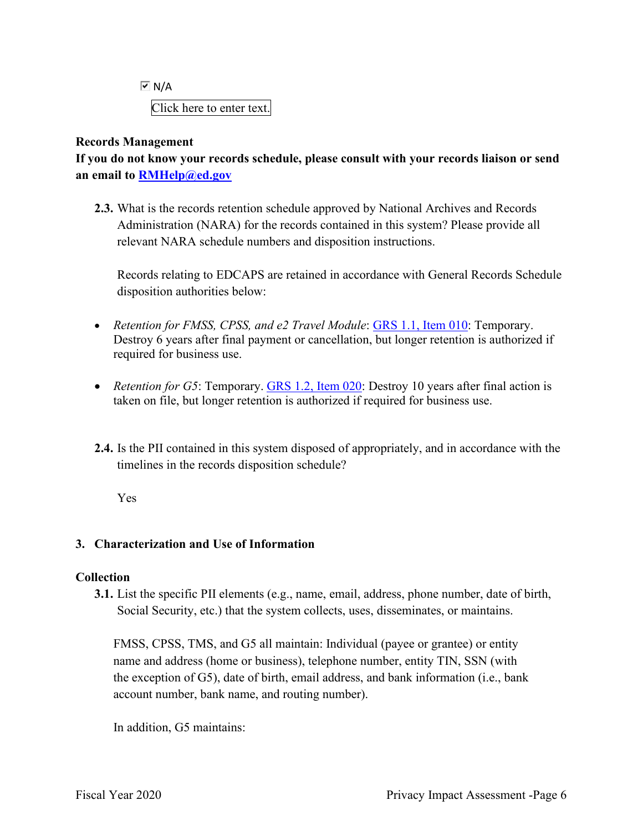Click here to enter text.  $\overline{M}$  N/A

#### **Records Management**

**If you do not know your records schedule, please consult with your records liaison or send an email to [RMHelp@ed.gov](mailto:RMHelp@ed.gov)** 

 **2.3.** What is the records retention schedule approved by National Archives and Records Administration (NARA) for the records contained in this system? Please provide all relevant NARA schedule numbers and disposition instructions.

Records relating to EDCAPS are retained in accordance with General Records Schedule disposition authorities below:

- *Retention for FMSS, CPSS, and e2 Travel Module*: GRS 1.1, Item 010: Temporary. Destroy 6 years after final payment or cancellation, but longer retention is authorized if required for business use.
- *Retention for G5*: Temporary. GRS 1.2, Item 020: Destroy 10 years after final action is taken on file, but longer retention is authorized if required for business use.
- **2.4.** Is the PII contained in this system disposed of appropriately, and in accordance with the timelines in the records disposition schedule?

Yes

#### **3. Characterization and Use of Information**

#### **Collection**

**3.1.** List the specific PII elements (e.g., name, email, address, phone number, date of birth, Social Security, etc.) that the system collects, uses, disseminates, or maintains.

FMSS, CPSS, TMS, and G5 all maintain: Individual (payee or grantee) or entity name and address (home or business), telephone number, entity TIN, SSN (with the exception of G5), date of birth, email address, and bank information (i.e., bank account number, bank name, and routing number).

In addition, G5 maintains: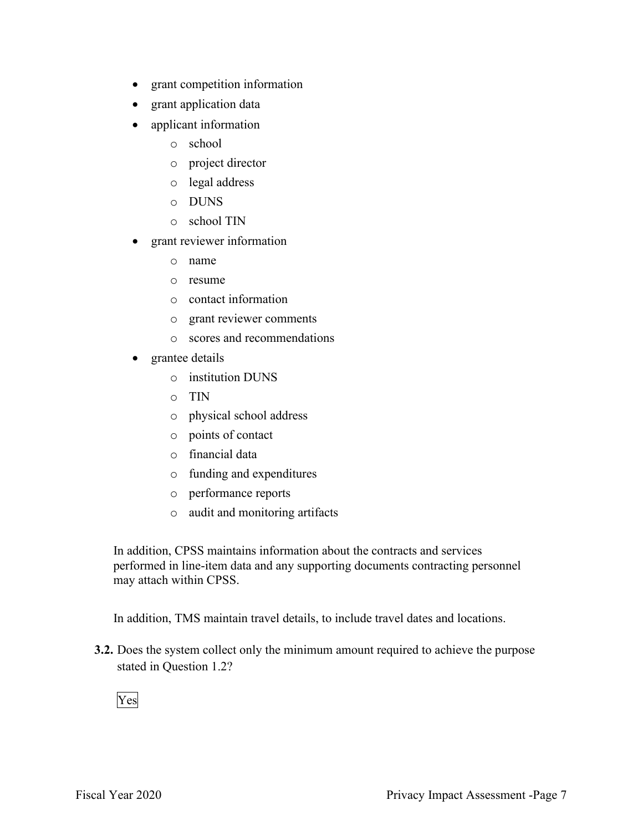- grant competition information
- grant application data
- applicant information
	- o school
	- o project director
	- o legal address
	- o DUNS
	- o school TIN
- grant reviewer information
	- o name
	- o resume
	- o contact information
	- o grant reviewer comments
	- o scores and recommendations
- grantee details
	- o institution DUNS
	- o TIN
	- o physical school address
	- o points of contact
	- o financial data
	- o funding and expenditures
	- o performance reports
	- o audit and monitoring artifacts

In addition, CPSS maintains information about the contracts and services performed in line-item data and any supporting documents contracting personnel may attach within CPSS.

In addition, TMS maintain travel details, to include travel dates and locations.

stated in Question 1.2?<br>Yes **3.2.** Does the system collect only the minimum amount required to achieve the purpose

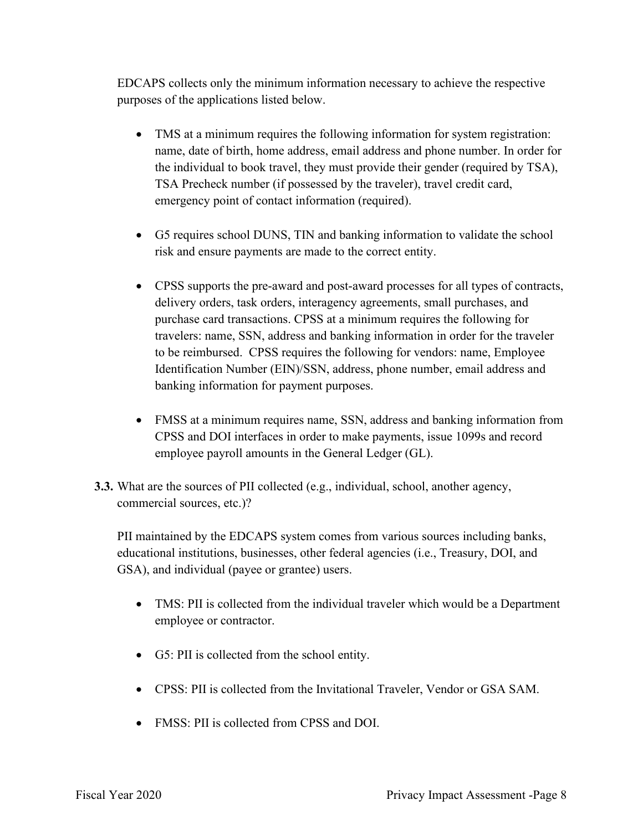EDCAPS collects only the minimum information necessary to achieve the respective purposes of the applications listed below.

- the individual to book travel, they must provide their gender (required by TSA), emergency point of contact information (required). • TMS at a minimum requires the following information for system registration: name, date of birth, home address, email address and phone number. In order for TSA Precheck number (if possessed by the traveler), travel credit card,
- risk and ensure payments are made to the correct entity. • G5 requires school DUNS, TIN and banking information to validate the school
- CPSS supports the pre-award and post-award processes for all types of contracts, delivery orders, task orders, interagency agreements, small purchases, and purchase card transactions. CPSS at a minimum requires the following for travelers: name, SSN, address and banking information in order for the traveler to be reimbursed. CPSS requires the following for vendors: name, Employee Identification Number (EIN)/SSN, address, phone number, email address and banking information for payment purposes.
- FMSS at a minimum requires name, SSN, address and banking information from CPSS and DOI interfaces in order to make payments, issue 1099s and record employee payroll amounts in the General Ledger (GL).
- **3.3.** What are the sources of PII collected (e.g., individual, school, another agency, commercial sources, etc.)?

PII maintained by the EDCAPS system comes from various sources including banks, educational institutions, businesses, other federal agencies (i.e., Treasury, DOI, and GSA), and individual (payee or grantee) users.

- employee or contractor. • TMS: PII is collected from the individual traveler which would be a Department
- G5: PII is collected from the school entity.
- CPSS: PII is collected from the Invitational Traveler, Vendor or GSA SAM.
- FMSS: PII is collected from CPSS and DOI.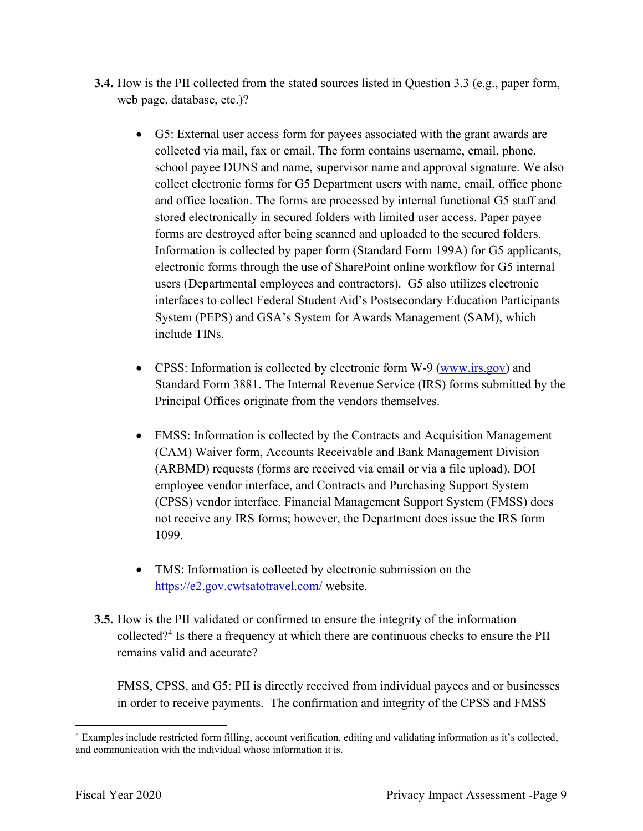- **3.4.** How is the PII collected from the stated sources listed in Question 3.3 (e.g., paper form, web page, database, etc.)?
	- • G5: External user access form for payees associated with the grant awards are collect electronic forms for G5 Department users with name, email, office phone users (Departmental employees and contractors). G5 also utilizes electronic collected via mail, fax or email. The form contains username, email, phone, school payee DUNS and name, supervisor name and approval signature. We also and office location. The forms are processed by internal functional G5 staff and stored electronically in secured folders with limited user access. Paper payee forms are destroyed after being scanned and uploaded to the secured folders. Information is collected by paper form (Standard Form 199A) for G5 applicants, electronic forms through the use of SharePoint online workflow for G5 internal interfaces to collect Federal Student Aid's Postsecondary Education Participants System (PEPS) and GSA's System for Awards Management (SAM), which include TINs.
	- Principal Offices originate from the vendors themselves. • CPSS: Information is collected by electronic form W-9 [\(www.irs.gov](www.irs.gov)) and Standard Form 3881. The Internal Revenue Service (IRS) forms submitted by the
	- not receive any IRS forms; however, the Department does issue the IRS form 1099. • FMSS: Information is collected by the Contracts and Acquisition Management (CAM) Waiver form, Accounts Receivable and Bank Management Division (ARBMD) requests (forms are received via email or via a file upload), DOI employee vendor interface, and Contracts and Purchasing Support System (CPSS) vendor interface. Financial Management Support System (FMSS) does
	- TMS: Information is collected by electronic submission on the [https://e2.gov.cwtsatotravel.com/](https://e2.gov.cwtsatotravel.com) website.
- **3.5.** How is the PII validated or confirmed to ensure the integrity of the information collected?<sup>4</sup> Is there a frequency at which there are continuous checks to ensure the PII remains valid and accurate?

FMSS, CPSS, and G5: PII is directly received from individual payees and or businesses in order to receive payments. The confirmation and integrity of the CPSS and FMSS

<sup>&</sup>lt;sup>4</sup> Examples include restricted form filling, account verification, editing and validating information as it's collected, and communication with the individual whose information it is.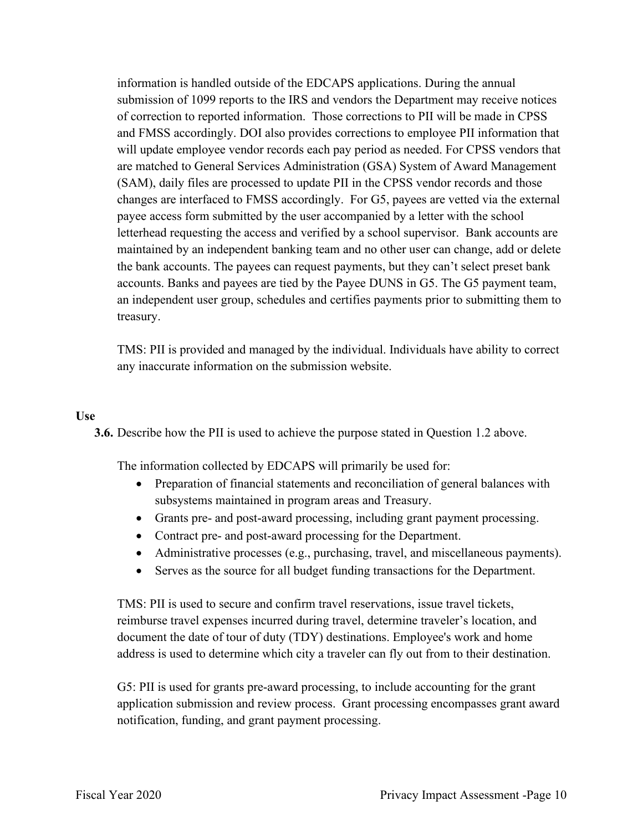(SAM), daily files are processed to update PII in the CPSS vendor records and those changes are interfaced to FMSS accordingly. For G5, payees are vetted via the external information is handled outside of the EDCAPS applications. During the annual submission of 1099 reports to the IRS and vendors the Department may receive notices of correction to reported information. Those corrections to PII will be made in CPSS and FMSS accordingly. DOI also provides corrections to employee PII information that will update employee vendor records each pay period as needed. For CPSS vendors that are matched to General Services Administration (GSA) System of Award Management payee access form submitted by the user accompanied by a letter with the school letterhead requesting the access and verified by a school supervisor. Bank accounts are maintained by an independent banking team and no other user can change, add or delete the bank accounts. The payees can request payments, but they can't select preset bank accounts. Banks and payees are tied by the Payee DUNS in G5. The G5 payment team, an independent user group, schedules and certifies payments prior to submitting them to treasury.

TMS: PII is provided and managed by the individual. Individuals have ability to correct any inaccurate information on the submission website.

#### **Use**

**3.6.** Describe how the PII is used to achieve the purpose stated in Question 1.2 above.

The information collected by EDCAPS will primarily be used for:

- Preparation of financial statements and reconciliation of general balances with subsystems maintained in program areas and Treasury.
- Grants pre- and post-award processing, including grant payment processing.
- Contract pre- and post-award processing for the Department.
- Administrative processes (e.g., purchasing, travel, and miscellaneous payments).
- Serves as the source for all budget funding transactions for the Department.

 address is used to determine which city a traveler can fly out from to their destination. TMS: PII is used to secure and confirm travel reservations, issue travel tickets, reimburse travel expenses incurred during travel, determine traveler's location, and document the date of tour of duty (TDY) destinations. Employee's work and home

 G5: PII is used for grants pre-award processing, to include accounting for the grant notification, funding, and grant payment processing. application submission and review process. Grant processing encompasses grant award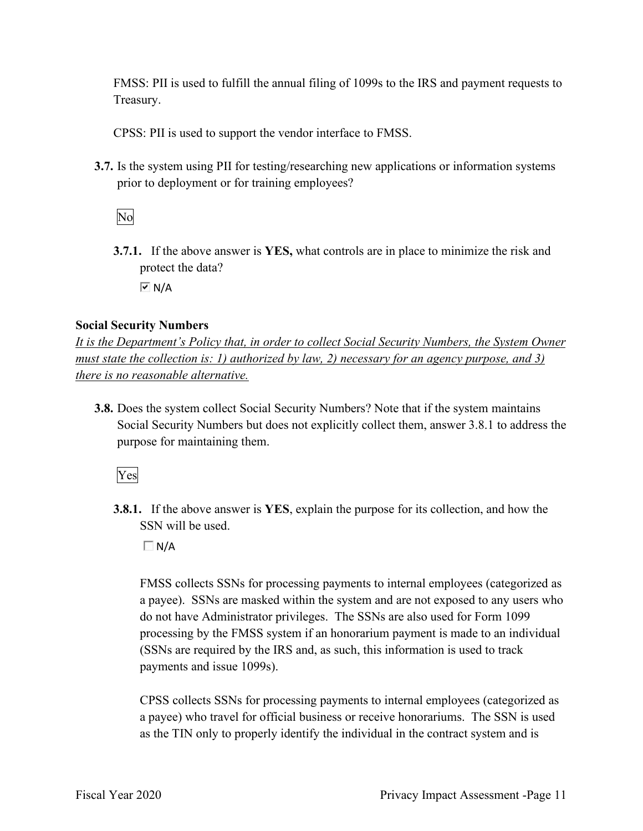FMSS: PII is used to fulfill the annual filing of 1099s to the IRS and payment requests to Treasury.

CPSS: PII is used to support the vendor interface to FMSS.

prior to deployment or for training employees?<br>No **3.7.** Is the system using PII for testing/researching new applications or information systems

**3.7.1.** If the above answer is **YES,** what controls are in place to minimize the risk and protect the data?

 $\overline{M}$  N/A

#### **Social Security Numbers**

*It is the Department's Policy that, in order to collect Social Security Numbers, the System Owner must state the collection is: 1) authorized by law, 2) necessary for an agency purpose, and 3) there is no reasonable alternative.* 

**3.8.** Does the system collect Social Security Numbers? Note that if the system maintains Social Security Numbers but does not explicitly collect them, answer 3.8.1 to address the purpose for maintaining them.

Yes

**3.8.1.** If the above answer is **YES**, explain the purpose for its collection, and how the SSN will be used.

 $\Box$  N/A

FMSS collects SSNs for processing payments to internal employees (categorized as a payee). SSNs are masked within the system and are not exposed to any users who do not have Administrator privileges. The SSNs are also used for Form 1099 processing by the FMSS system if an honorarium payment is made to an individual (SSNs are required by the IRS and, as such, this information is used to track payments and issue 1099s).

CPSS collects SSNs for processing payments to internal employees (categorized as a payee) who travel for official business or receive honorariums. The SSN is used as the TIN only to properly identify the individual in the contract system and is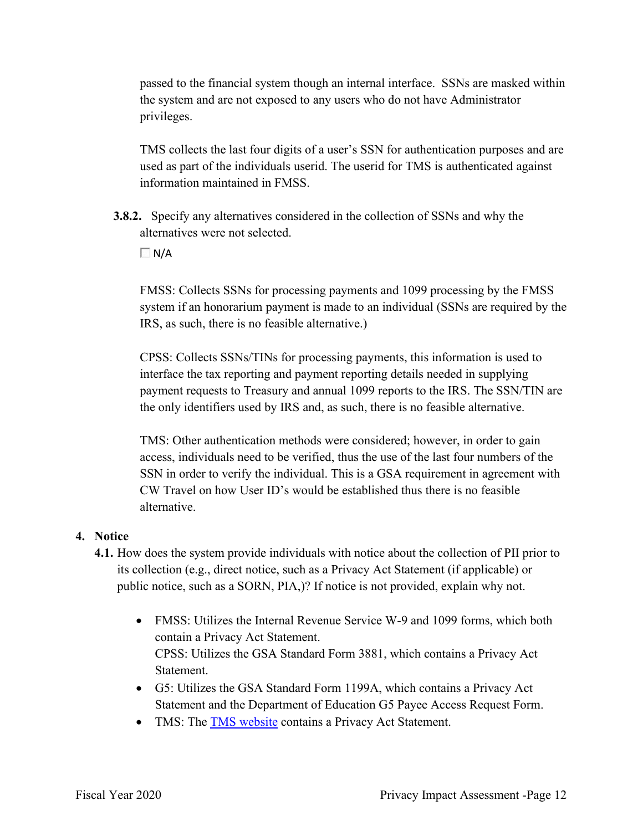the system and are not exposed to any users who do not have Administrator passed to the financial system though an internal interface. SSNs are masked within privileges.

TMS collects the last four digits of a user's SSN for authentication purposes and are used as part of the individuals userid. The userid for TMS is authenticated against information maintained in FMSS.

**3.8.2.** Specify any alternatives considered in the collection of SSNs and why the alternatives were not selected.

 $\Box$  N/A

IRS, as such, there is no feasible alternative.) FMSS: Collects SSNs for processing payments and 1099 processing by the FMSS system if an honorarium payment is made to an individual (SSNs are required by the

 the only identifiers used by IRS and, as such, there is no feasible alternative. CPSS: Collects SSNs/TINs for processing payments, this information is used to interface the tax reporting and payment reporting details needed in supplying payment requests to Treasury and annual 1099 reports to the IRS. The SSN/TIN are

 CW Travel on how User ID's would be established thus there is no feasible alternative. TMS: Other authentication methods were considered; however, in order to gain access, individuals need to be verified, thus the use of the last four numbers of the SSN in order to verify the individual. This is a GSA requirement in agreement with

#### **4. Notice**

- public notice, such as a SORN, PIA,)? If notice is not provided, explain why not. **4.1.** How does the system provide individuals with notice about the collection of PII prior to its collection (e.g., direct notice, such as a Privacy Act Statement (if applicable) or
	- FMSS: Utilizes the Internal Revenue Service W-9 and 1099 forms, which both contain a Privacy Act Statement. CPSS: Utilizes the GSA Standard Form 3881, which contains a Privacy Act Statement.
	- Statement and the Department of Education G5 Payee Access Request Form. • G5: Utilizes the GSA Standard Form 1199A, which contains a Privacy Act
	- TMS: The TMS website contains a Privacy Act Statement.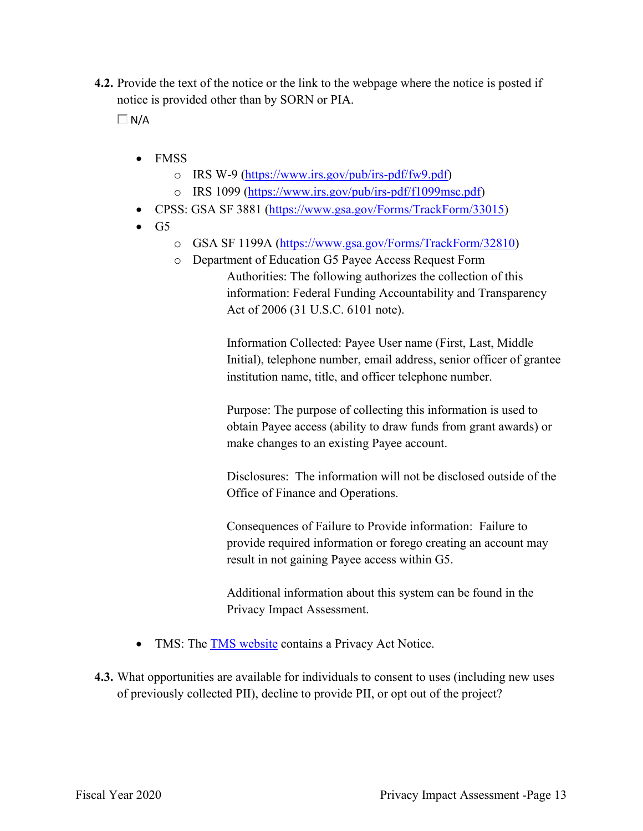**4.2.** Provide the text of the notice or the link to the webpage where the notice is posted if notice is provided other than by SORN or PIA.

 $\Box$  N/A

- FMSS
	- o IRS W-9 (<https://www.irs.gov/pub/irs-pdf/fw9.pdf>)
	- o IRS 1099 [\(https://www.irs.gov/pub/irs-pdf/f1099msc.pdf\)](https://www.irs.gov/pub/irs-pdf/f1099msc.pdf)
- CPSS: GSA SF 3881 [\(https://www.gsa.gov/Forms/TrackForm/33015](https://www.gsa.gov/Forms/TrackForm/33015))
- $\bullet$  G5
	- o GSA SF 1199A ([https://www.gsa.gov/Forms/TrackForm/32810\)](https://www.gsa.gov/Forms/TrackForm/32810)
	- o Department of Education G5 Payee Access Request Form Authorities: The following authorizes the collection of this information: Federal Funding Accountability and Transparency Act of 2006 (31 U.S.C. 6101 note).

Information Collected: Payee User name (First, Last, Middle Initial), telephone number, email address, senior officer of grantee institution name, title, and officer telephone number.

Purpose: The purpose of collecting this information is used to obtain Payee access (ability to draw funds from grant awards) or make changes to an existing Payee account.

Disclosures: The information will not be disclosed outside of the Office of Finance and Operations.

Consequences of Failure to Provide information: Failure to provide required information or forego creating an account may result in not gaining Payee access within G5.

Additional information about this system can be found in the Privacy Impact Assessment.

- TMS: The TMS website contains a Privacy Act Notice.
- of previously collected PII), decline to provide PII, or opt out of the project? **4.3.** What opportunities are available for individuals to consent to uses (including new uses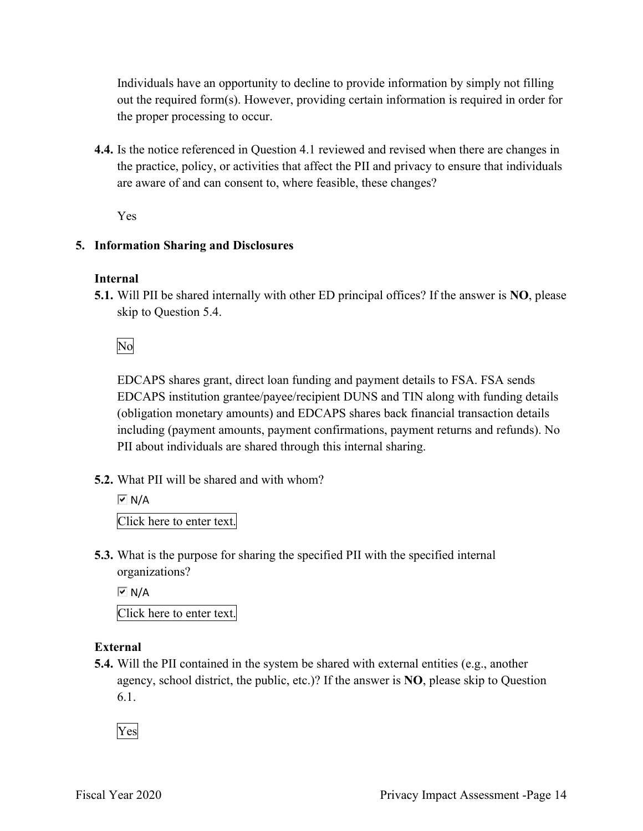Individuals have an opportunity to decline to provide information by simply not filling out the required form(s). However, providing certain information is required in order for the proper processing to occur.

 are aware of and can consent to, where feasible, these changes? **4.4.** Is the notice referenced in Question 4.1 reviewed and revised when there are changes in the practice, policy, or activities that affect the PII and privacy to ensure that individuals

Yes

#### **5. Information Sharing and Disclosures**

#### **Internal**

 **5.1.** Will PII be shared internally with other ED principal offices? If the answer is **NO**, please skip to Question 5.4.

No

 (obligation monetary amounts) and EDCAPS shares back financial transaction details EDCAPS shares grant, direct loan funding and payment details to FSA. FSA sends EDCAPS institution grantee/payee/recipient DUNS and TIN along with funding details including (payment amounts, payment confirmations, payment returns and refunds). No PII about individuals are shared through this internal sharing.

**5.2.** What PII will be shared and with whom?

 $\overline{M}$  N/A

Click here to enter text.

 organizations? **5.3.** What is the purpose for sharing the specified PII with the specified internal

 $\overline{M}$  N/A

Click here to enter text.

#### **External**

**5.4.** Will the PII contained in the system be shared with external entities (e.g., another agency, school district, the public, etc.)? If the answer is **NO**, please skip to Question 6.1.

Yes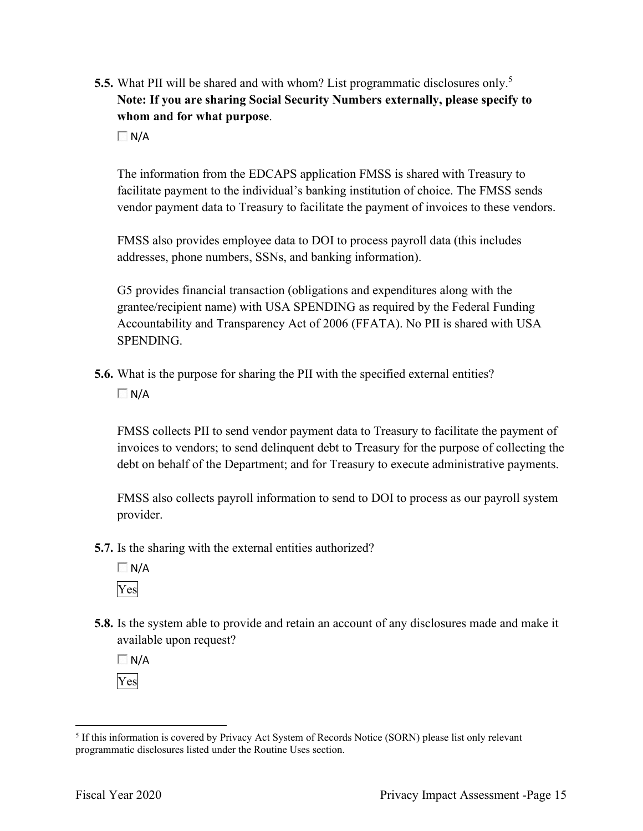**5.5.** What PII will be shared and with whom? List programmatic disclosures only.<sup>5</sup> **Note: If you are sharing Social Security Numbers externally, please specify to whom and for what purpose**.

 $\Box$  N/A

The information from the EDCAPS application FMSS is shared with Treasury to facilitate payment to the individual's banking institution of choice. The FMSS sends vendor payment data to Treasury to facilitate the payment of invoices to these vendors.

FMSS also provides employee data to DOI to process payroll data (this includes addresses, phone numbers, SSNs, and banking information).

G5 provides financial transaction (obligations and expenditures along with the grantee/recipient name) with USA SPENDING as required by the Federal Funding Accountability and Transparency Act of 2006 (FFATA). No PII is shared with USA SPENDING.

**5.6.** What is the purpose for sharing the PII with the specified external entities?

 $\Box$  N/A

FMSS collects PII to send vendor payment data to Treasury to facilitate the payment of invoices to vendors; to send delinquent debt to Treasury for the purpose of collecting the debt on behalf of the Department; and for Treasury to execute administrative payments.

FMSS also collects payroll information to send to DOI to process as our payroll system provider.

**5.7.** Is the sharing with the external entities authorized?

 $\Box$  N/A Yes

**5.8.** Is the system able to provide and retain an account of any disclosures made and make it available upon request?

 $\Box$  N/A Yes

<sup>5</sup> If this information is covered by Privacy Act System of Records Notice (SORN) please list only relevant programmatic disclosures listed under the Routine Uses section.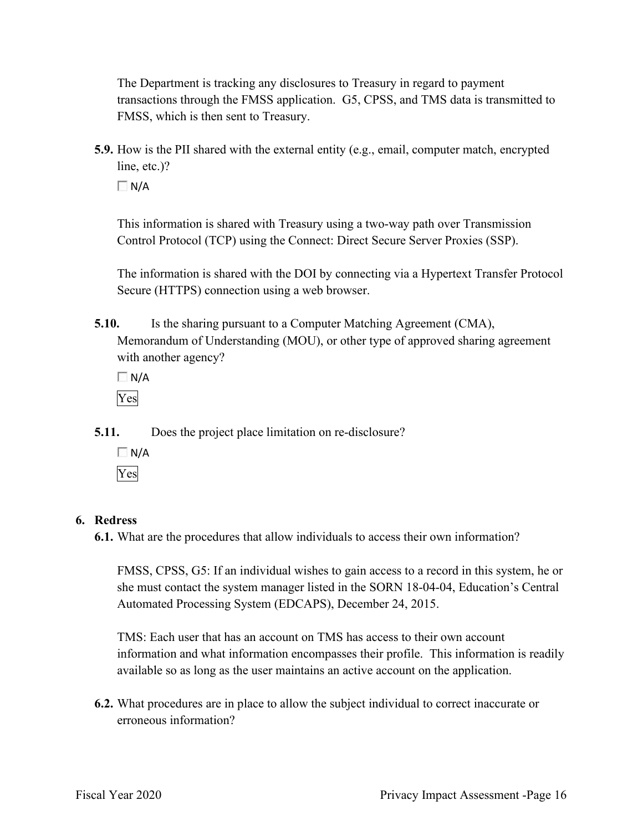The Department is tracking any disclosures to Treasury in regard to payment transactions through the FMSS application. G5, CPSS, and TMS data is transmitted to FMSS, which is then sent to Treasury.

**5.9.** How is the PII shared with the external entity (e.g., email, computer match, encrypted line, etc.)?

 $\Box$  N/A

This information is shared with Treasury using a two-way path over Transmission Control Protocol (TCP) using the Connect: Direct Secure Server Proxies (SSP).

The information is shared with the DOI by connecting via a Hypertext Transfer Protocol Secure (HTTPS) connection using a web browser.

**5.10.** Is the sharing pursuant to a Computer Matching Agreement (CMA), Memorandum of Understanding (MOU), or other type of approved sharing agreement with another agency?

 $\Box$  N/A Yes

**5.11.** Does the project place limitation on re-disclosure?

 $\Box$  N/A Yes

#### **6. Redress**

**6.1.** What are the procedures that allow individuals to access their own information?

FMSS, CPSS, G5: If an individual wishes to gain access to a record in this system, he or she must contact the system manager listed in the SORN 18-04-04, Education's Central Automated Processing System (EDCAPS), December 24, 2015.

TMS: Each user that has an account on TMS has access to their own account information and what information encompasses their profile. This information is readily available so as long as the user maintains an active account on the application.

**6.2.** What procedures are in place to allow the subject individual to correct inaccurate or erroneous information?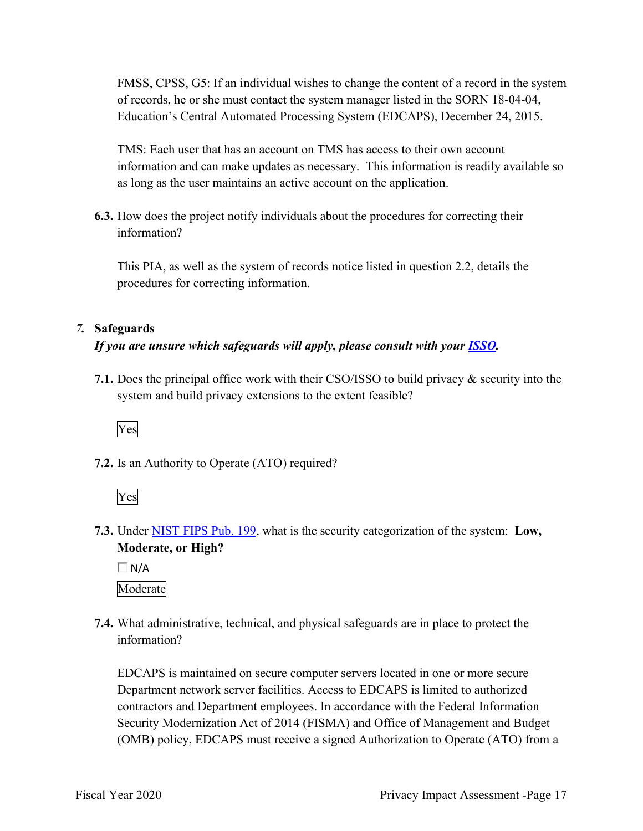FMSS, CPSS, G5: If an individual wishes to change the content of a record in the system of records, he or she must contact the system manager listed in the SORN 18-04-04, Education's Central Automated Processing System (EDCAPS), December 24, 2015.

TMS: Each user that has an account on TMS has access to their own account information and can make updates as necessary. This information is readily available so as long as the user maintains an active account on the application.

**6.3.** How does the project notify individuals about the procedures for correcting their information?

This PIA, as well as the system of records notice listed in question 2.2, details the procedures for correcting information.

#### *7.* **Safeguards**

#### *If you are unsure which safeguards will apply, please consult with your ISSO.*

 system and build privacy extensions to the extent feasible? **7.1.** Does the principal office work with their CSO/ISSO to build privacy & security into the



**7.2.** Is an Authority to Operate (ATO) required?



**7.3.** Under NIST FIPS Pub. 199, what is the security categorization of the system: **Low, Moderate, or High?** 

 $\Box$  N/A Moderate

**7.4.** What administrative, technical, and physical safeguards are in place to protect the information?

 EDCAPS is maintained on secure computer servers located in one or more secure contractors and Department employees. In accordance with the Federal Information Security Modernization Act of 2014 (FISMA) and Office of Management and Budget (OMB) policy, EDCAPS must receive a signed Authorization to Operate (ATO) from a Department network server facilities. Access to EDCAPS is limited to authorized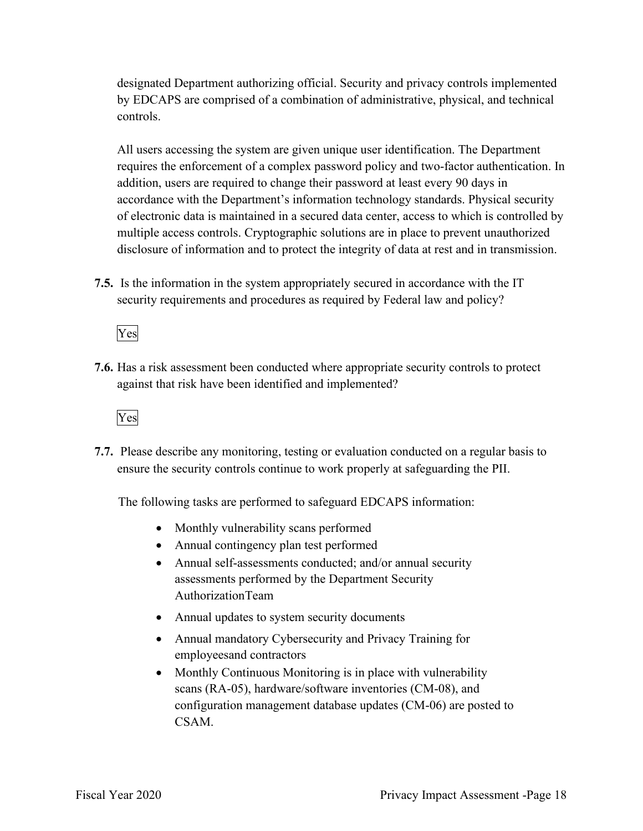designated Department authorizing official. Security and privacy controls implemented by EDCAPS are comprised of a combination of administrative, physical, and technical controls.

 All users accessing the system are given unique user identification. The Department requires the enforcement of a complex password policy and two-factor authentication. In addition, users are required to change their password at least every 90 days in accordance with the Department's information technology standards. Physical security of electronic data is maintained in a secured data center, access to which is controlled by multiple access controls. Cryptographic solutions are in place to prevent unauthorized disclosure of information and to protect the integrity of data at rest and in transmission.

 **7.5.** Is the information in the system appropriately secured in accordance with the IT security requirements and procedures as required by Federal law and policy?

Yes

**7.6.** Has a risk assessment been conducted where appropriate security controls to protect against that risk have been identified and implemented?



 ensure the security controls continue to work properly at safeguarding the PII. **7.7.** Please describe any monitoring, testing or evaluation conducted on a regular basis to

The following tasks are performed to safeguard EDCAPS information:

- Monthly vulnerability scans performed
- Annual contingency plan test performed
- AuthorizationTeam • Annual self-assessments conducted; and/or annual security assessments performed by the Department Security
- Annual updates to system security documents
- employeesand contractors • Annual mandatory Cybersecurity and Privacy Training for
- configuration management database updates (CM-06) are posted to • Monthly Continuous Monitoring is in place with vulnerability scans (RA-05), hardware/software inventories (CM-08), and CSAM.